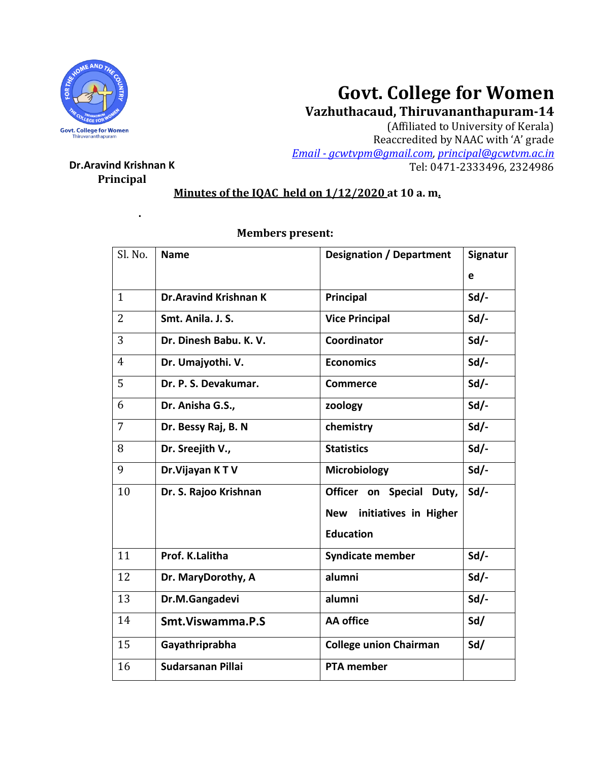

# **Govt. College for Women**

**Vazhuthacaud, Thiruvananthapuram-14**

(Affiliated to University of Kerala) Reaccredited by NAAC with 'A' grade *Email - [gcwtvpm@gmail.com,](mailto:Email%20-%20gcwtvpm@gmail.com) [principal@gcwtvm.ac.in](mailto:principal@gcwtvm.ac.in)* **Dr.Aravind Krishnan K** Tel: 0471-2333496, 2324986

# **Principal**

**.**

## **Minutes of the IQAC held on 1/12/2020 at 10 a. m.**

| Sl. No.        | <b>Name</b>                  | <b>Designation / Department</b>     | Signatur |
|----------------|------------------------------|-------------------------------------|----------|
|                |                              |                                     | e        |
| $\mathbf{1}$   | <b>Dr.Aravind Krishnan K</b> | Principal                           | $Sd/-$   |
| $\overline{2}$ | Smt. Anila. J. S.            | <b>Vice Principal</b>               | $Sd$ .   |
| 3              | Dr. Dinesh Babu. K. V.       | Coordinator                         | $Sd/-$   |
| $\overline{4}$ | Dr. Umajyothi. V.            | <b>Economics</b>                    | Sd       |
| 5              | Dr. P. S. Devakumar.         | <b>Commerce</b>                     | $Sd$ .   |
| 6              | Dr. Anisha G.S.,             | zoology                             | $Sd$ .   |
| 7              | Dr. Bessy Raj, B. N          | chemistry                           | $Sd$ .   |
| 8              | Dr. Sreejith V.,             | <b>Statistics</b>                   | $Sd/-$   |
| 9              | Dr. Vijayan KTV              | Microbiology                        | Sd       |
| 10             | Dr. S. Rajoo Krishnan        | Officer on Special<br>Duty,         | $Sd$ -   |
|                |                              | initiatives in Higher<br><b>New</b> |          |
|                |                              | <b>Education</b>                    |          |
| 11             | Prof. K.Lalitha              | <b>Syndicate member</b>             | $Sd/-$   |
| 12             | Dr. MaryDorothy, A           | alumni                              | $Sd/-$   |
| 13             | Dr.M.Gangadevi               | alumni                              | $Sd$ .   |
| 14             | Smt. Viswamma. P.S           | <b>AA</b> office                    | Sd/      |
| 15             | Gayathriprabha               | <b>College union Chairman</b>       | Sd/      |
| 16             | Sudarsanan Pillai            | <b>PTA member</b>                   |          |

### **Members present:**